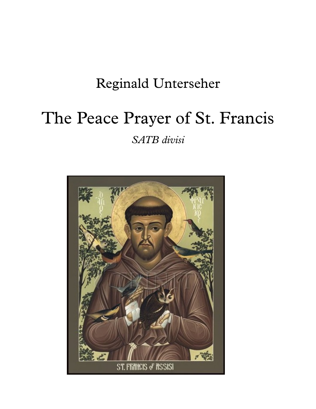## Reginald Unterseher

# The Peace Prayer of St. Francis

*SATB divisi*

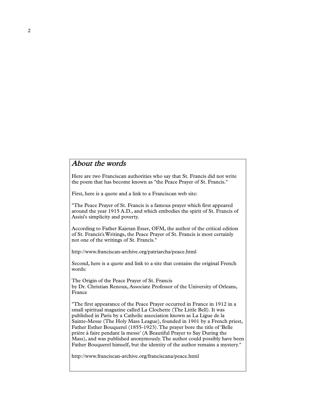#### About the words

Here are two Franciscan authorities who say that St. Francis did not write the poem that has become known as"the Peace Prayer of St. Francis."

First, here is a quote and a link to a Franciscan web site:

"The Peace Prayer of St. Francis is a famous prayer which first appeared around the year 1915 A.D., and which embodies the spirit of St. Francis of Assisi's simplicity and poverty.

According to Father Kajetan Esser, OFM, the author of the critical edition of St. Francis'sWritings, the Peace Prayer of St. Francis is most certainly not one of the writings of St. Francis."

http://www.franciscan-archive.org/patriarcha/peace.html

Second, here is a quote and link to a site that contains the original French words:

The Origin of the Peace Prayer of St. Francis by Dr. Christian Renoux, Associate Professor of the University of Orleans, France

"The first appearance of the Peace Prayer occurred in France in 1912 in a small spiritual magazine called La Clochette (The Little Bell). It was published in Paris by a Catholic association known as La Ligue de la Sainte-Messe (The Holy Mass League), founded in 1901 by a French priest, Father Esther Bouquerel (1855-1923).The prayer bore the title of 'Belle prière à faire pendant la messe' (A Beautiful Prayer to Say During the Mass), and was published anonymously.The author could possibly have been Father Bouquerel himself, but the identity of the author remains a mystery."

http://www.franciscan-archive.org/franciscana/peace.html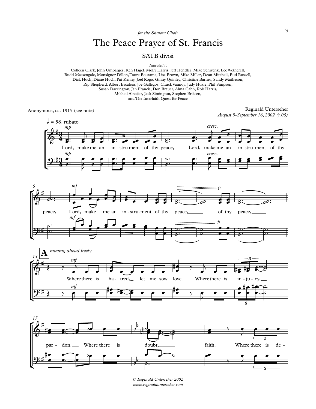*for the Shalom Choir*

### The Peace Prayer of St. Francis

#### SATB divisi

*dedicated to*

Colleen Clark, John Umbarger, Ken Hagel, Molly Harris, Jeff Hendler, Mike Schwenk, LeeWetherell, Budd Massengale, Monsignor Dillon,Toure Bourama, Lisa Brown, Mike Miller, Dean Mitchell, Bud Russell, Dick Hoch, Diane Hoch, Pat Kenny, Joel Rogo, Ginny Quinley, Christine Barnes, Sandy Matheson, Rip Shepherd, Albert Escalera, Joe Gallegos, Chuck Vannoy, Judy Hoxie, Phil Simpson, Susan Darrington, Jan Francis, Don Brauer, Alma Cahn, Rob Harris, Mikhail Alnajjar, Jack Simington, Stephen Eriksen, and The Interfaith Quest for Peace

Anonymous, ca. 1915 (see note)

Reginald Unterseher *August 9-September 16, 2002 (r.05)*





*© Reginald Unterseher 2002 www.reginaldunterseher.com*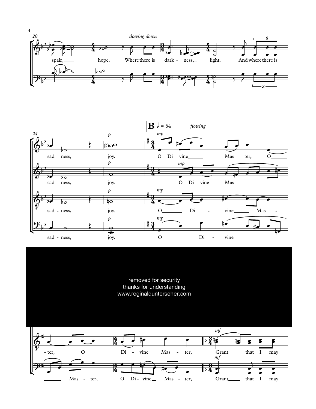



removed for security thanks for understanding www.reginaldunterseher.com

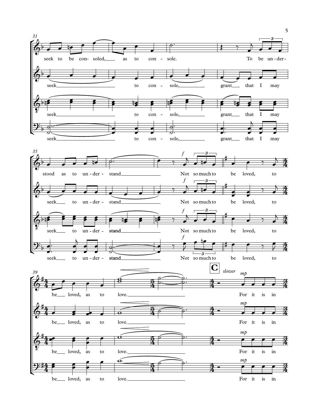